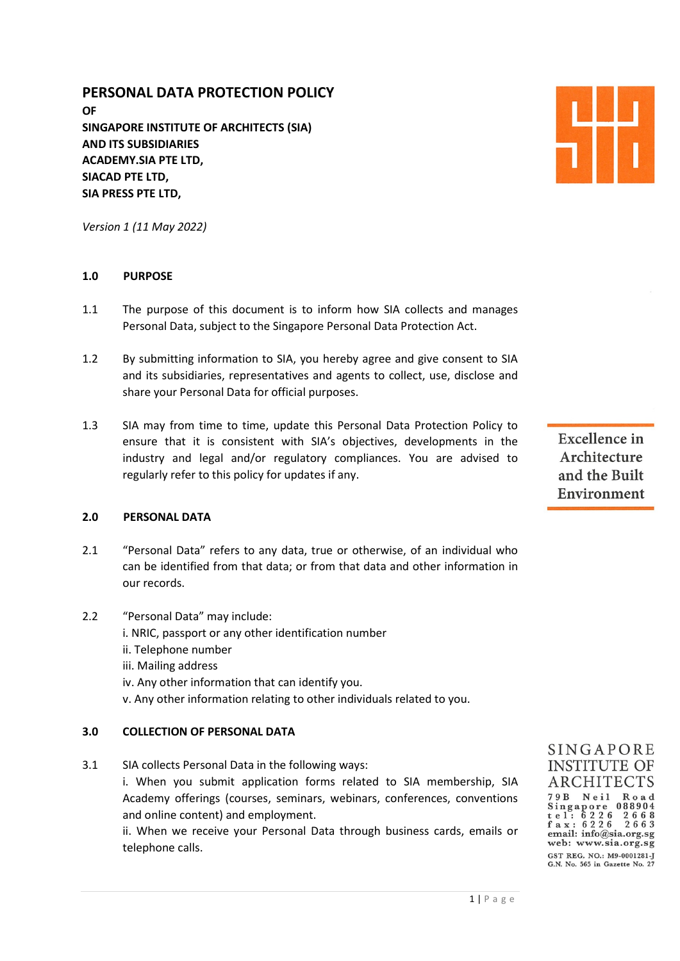# PERSONAL DATA PROTECTION POLICY

OF SINGAPORE INSTITUTE OF ARCHITECTS (SIA) AND ITS SUBSIDIARIES ACADEMY.SIA PTE LTD, SIACAD PTE LTD, SIA PRESS PTE LTD,

Version 1 (11 May 2022)

## 1.0 PURPOSE

- 1.1 The purpose of this document is to inform how SIA collects and manages Personal Data, subject to the Singapore Personal Data Protection Act.
- 1.2 By submitting information to SIA, you hereby agree and give consent to SIA and its subsidiaries, representatives and agents to collect, use, disclose and share your Personal Data for official purposes.
- 1.3 SIA may from time to time, update this Personal Data Protection Policy to ensure that it is consistent with SIA's objectives, developments in the industry and legal and/or regulatory compliances. You are advised to regularly refer to this policy for updates if any.

#### 2.0 PERSONAL DATA

- 2.1 "Personal Data" refers to any data, true or otherwise, of an individual who can be identified from that data; or from that data and other information in our records.
- 2.2 "Personal Data" may include: i. NRIC, passport or any other identification number ii. Telephone number iii. Mailing address iv. Any other information that can identify you.
	- v. Any other information relating to other individuals related to you.

## 3.0 COLLECTION OF PERSONAL DATA

3.1 SIA collects Personal Data in the following ways:

 i. When you submit application forms related to SIA membership, SIA Academy offerings (courses, seminars, webinars, conferences, conventions and online content) and employment.

 ii. When we receive your Personal Data through business cards, emails or telephone calls.

**Excellence** in Architecture and the Built Environment



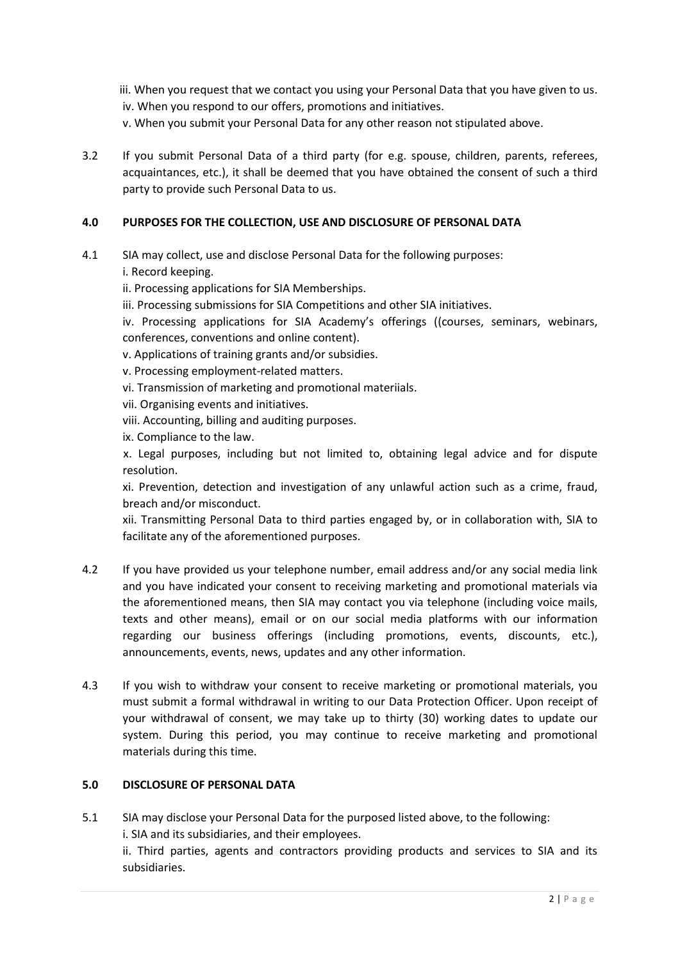- iii. When you request that we contact you using your Personal Data that you have given to us. iv. When you respond to our offers, promotions and initiatives.
- v. When you submit your Personal Data for any other reason not stipulated above.
- 3.2 If you submit Personal Data of a third party (for e.g. spouse, children, parents, referees, acquaintances, etc.), it shall be deemed that you have obtained the consent of such a third party to provide such Personal Data to us.

## 4.0 PURPOSES FOR THE COLLECTION, USE AND DISCLOSURE OF PERSONAL DATA

- 4.1 SIA may collect, use and disclose Personal Data for the following purposes: i. Record keeping.
	- ii. Processing applications for SIA Memberships.
	- iii. Processing submissions for SIA Competitions and other SIA initiatives.

 iv. Processing applications for SIA Academy's offerings ((courses, seminars, webinars, conferences, conventions and online content).

v. Applications of training grants and/or subsidies.

- v. Processing employment-related matters.
- vi. Transmission of marketing and promotional materiials.
- vii. Organising events and initiatives.
- viii. Accounting, billing and auditing purposes.
- ix. Compliance to the law.

 x. Legal purposes, including but not limited to, obtaining legal advice and for dispute resolution.

 xi. Prevention, detection and investigation of any unlawful action such as a crime, fraud, breach and/or misconduct.

 xii. Transmitting Personal Data to third parties engaged by, or in collaboration with, SIA to facilitate any of the aforementioned purposes.

- 4.2 If you have provided us your telephone number, email address and/or any social media link and you have indicated your consent to receiving marketing and promotional materials via the aforementioned means, then SIA may contact you via telephone (including voice mails, texts and other means), email or on our social media platforms with our information regarding our business offerings (including promotions, events, discounts, etc.), announcements, events, news, updates and any other information.
- formation<br>ts, etc.),<br>rrials, you<br>receipt of<br>odate our<br>pmotional<br>2<br>A and its<br>2 | P a g e 4.3 If you wish to withdraw your consent to receive marketing or promotional materials, you must submit a formal withdrawal in writing to our Data Protection Officer. Upon receipt of your withdrawal of consent, we may take up to thirty (30) working dates to update our system. During this period, you may continue to receive marketing and promotional materials during this time.

#### 5.0 DISCLOSURE OF PERSONAL DATA

5.1 SIA may disclose your Personal Data for the purposed listed above, to the following: i. SIA and its subsidiaries, and their employees. ii. Third parties, agents and contractors providing products and services to SIA and its subsidiaries.